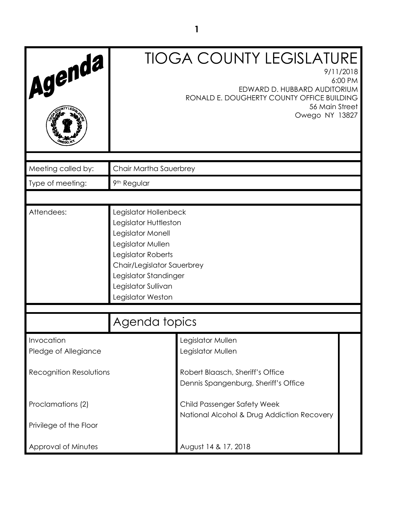| Agenda                             |                                                                                                                                                                                                                   | <b>TIOGA COUNTY LEGISLATURE</b><br>9/11/2018<br>EDWARD D. HUBBARD AUDITORIUM<br>RONALD E. DOUGHERTY COUNTY OFFICE BUILDING<br>56 Main Street<br>Owego NY 13827 | 6:00 PM |
|------------------------------------|-------------------------------------------------------------------------------------------------------------------------------------------------------------------------------------------------------------------|----------------------------------------------------------------------------------------------------------------------------------------------------------------|---------|
| Meeting called by:                 | Chair Martha Sauerbrey                                                                                                                                                                                            |                                                                                                                                                                |         |
| Type of meeting:                   | 9 <sup>th</sup> Regular                                                                                                                                                                                           |                                                                                                                                                                |         |
|                                    |                                                                                                                                                                                                                   |                                                                                                                                                                |         |
| Attendees:                         | Legislator Hollenbeck<br>Legislator Huttleston<br>Legislator Monell<br>Legislator Mullen<br>Legislator Roberts<br>Chair/Legislator Sauerbrey<br>Legislator Standinger<br>Legislator Sullivan<br>Legislator Weston |                                                                                                                                                                |         |
| Agenda topics                      |                                                                                                                                                                                                                   |                                                                                                                                                                |         |
| Invocation<br>Pledge of Allegiance |                                                                                                                                                                                                                   | Legislator Mullen<br>Legislator Mullen                                                                                                                         |         |
| <b>Recognition Resolutions</b>     |                                                                                                                                                                                                                   | Robert Blaasch, Sheriff's Office<br>Dennis Spangenburg, Sheriff's Office                                                                                       |         |
| Proclamations (2)                  | Child Passenger Safety Week<br>National Alcohol & Drug Addiction Recovery                                                                                                                                         |                                                                                                                                                                |         |
| Privilege of the Floor             |                                                                                                                                                                                                                   |                                                                                                                                                                |         |
| Approval of Minutes                | August 14 & 17, 2018                                                                                                                                                                                              |                                                                                                                                                                |         |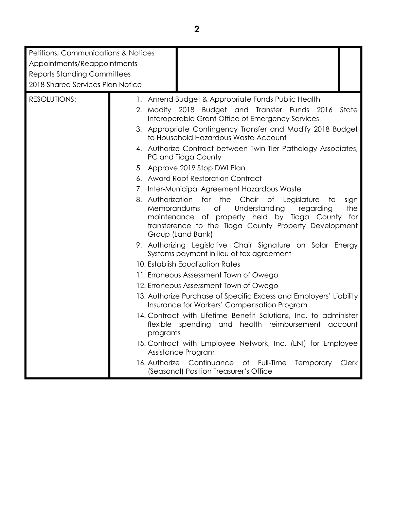| Petitions, Communications & Notices<br>Appointments/Reappointments<br><b>Reports Standing Committees</b><br>2018 Shared Services Plan Notice |                                                                                                                                                                                                                                                           |  |
|----------------------------------------------------------------------------------------------------------------------------------------------|-----------------------------------------------------------------------------------------------------------------------------------------------------------------------------------------------------------------------------------------------------------|--|
| <b>RESOLUTIONS:</b>                                                                                                                          | 1. Amend Budget & Appropriate Funds Public Health                                                                                                                                                                                                         |  |
|                                                                                                                                              | 2. Modify 2018 Budget and Transfer Funds 2016<br>State<br>Interoperable Grant Office of Emergency Services                                                                                                                                                |  |
|                                                                                                                                              | 3. Appropriate Contingency Transfer and Modify 2018 Budget<br>to Household Hazardous Waste Account                                                                                                                                                        |  |
|                                                                                                                                              | 4. Authorize Contract between Twin Tier Pathology Associates,<br>PC and Tioga County                                                                                                                                                                      |  |
|                                                                                                                                              | 5. Approve 2019 Stop DWI Plan                                                                                                                                                                                                                             |  |
|                                                                                                                                              | 6. Award Roof Restoration Contract                                                                                                                                                                                                                        |  |
|                                                                                                                                              | 7. Inter-Municipal Agreement Hazardous Waste                                                                                                                                                                                                              |  |
|                                                                                                                                              | 8. Authorization for the Chair of Legislature<br>sign<br>to t<br>Understanding<br>Memorandums<br>of<br>the<br>regarding<br>maintenance of property held by Tioga County for<br>transference to the Tioga County Property Development<br>Group (Land Bank) |  |
|                                                                                                                                              | 9. Authorizing Legislative Chair Signature on Solar Energy<br>Systems payment in lieu of tax agreement                                                                                                                                                    |  |
|                                                                                                                                              | 10. Establish Equalization Rates                                                                                                                                                                                                                          |  |
|                                                                                                                                              | 11. Erroneous Assessment Town of Owego                                                                                                                                                                                                                    |  |
|                                                                                                                                              | 12. Erroneous Assessment Town of Owego                                                                                                                                                                                                                    |  |
|                                                                                                                                              | 13. Authorize Purchase of Specific Excess and Employers' Liability<br>Insurance for Workers' Compensation Program                                                                                                                                         |  |
|                                                                                                                                              | 14. Contract with Lifetime Benefit Solutions, Inc. to administer<br>spending and health reimbursement account<br>flexible<br>programs                                                                                                                     |  |
|                                                                                                                                              | 15. Contract with Employee Network, Inc. (ENI) for Employee<br>Assistance Program                                                                                                                                                                         |  |
|                                                                                                                                              | 16. Authorize Continuance of Full-Time<br><b>Temporary</b><br>Clerk<br>(Seasonal) Position Treasurer's Office                                                                                                                                             |  |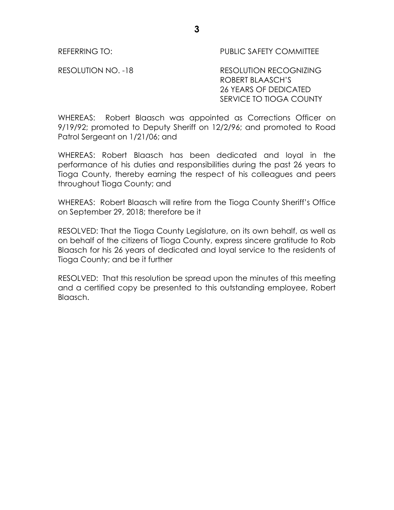### REFERRING TO: PUBLIC SAFETY COMMITTEE

RESOLUTION NO. -18 RESOLUTION RECOGNIZING ROBERT BLAASCH'S 26 YEARS OF DEDICATED SERVICE TO TIOGA COUNTY

WHEREAS: Robert Blaasch was appointed as Corrections Officer on 9/19/92; promoted to Deputy Sheriff on 12/2/96; and promoted to Road Patrol Sergeant on 1/21/06; and

WHEREAS: Robert Blaasch has been dedicated and loyal in the performance of his duties and responsibilities during the past 26 years to Tioga County, thereby earning the respect of his colleagues and peers throughout Tioga County; and

WHEREAS: Robert Blaasch will retire from the Tioga County Sheriff's Office on September 29, 2018; therefore be it

RESOLVED: That the Tioga County Legislature, on its own behalf, as well as on behalf of the citizens of Tioga County, express sincere gratitude to Rob Blaasch for his 26 years of dedicated and loyal service to the residents of Tioga County; and be it further

RESOLVED: That this resolution be spread upon the minutes of this meeting and a certified copy be presented to this outstanding employee, Robert Blaasch.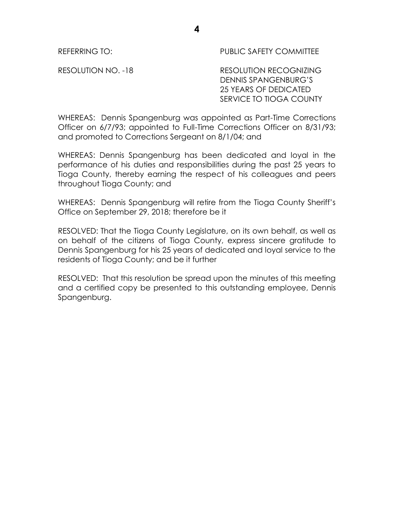REFERRING TO: PUBLIC SAFETY COMMITTEE

RESOLUTION NO. -18 RESOLUTION RECOGNIZING DENNIS SPANGENBURG'S 25 YEARS OF DEDICATED SERVICE TO TIOGA COUNTY

WHEREAS: Dennis Spangenburg was appointed as Part-Time Corrections Officer on 6/7/93; appointed to Full-Time Corrections Officer on 8/31/93; and promoted to Corrections Sergeant on 8/1/04; and

WHEREAS: Dennis Spangenburg has been dedicated and loyal in the performance of his duties and responsibilities during the past 25 years to Tioga County, thereby earning the respect of his colleagues and peers throughout Tioga County; and

WHEREAS: Dennis Spangenburg will retire from the Tioga County Sheriff's Office on September 29, 2018; therefore be it

RESOLVED: That the Tioga County Legislature, on its own behalf, as well as on behalf of the citizens of Tioga County, express sincere gratitude to Dennis Spangenburg for his 25 years of dedicated and loyal service to the residents of Tioga County; and be it further

RESOLVED: That this resolution be spread upon the minutes of this meeting and a certified copy be presented to this outstanding employee, Dennis Spangenburg.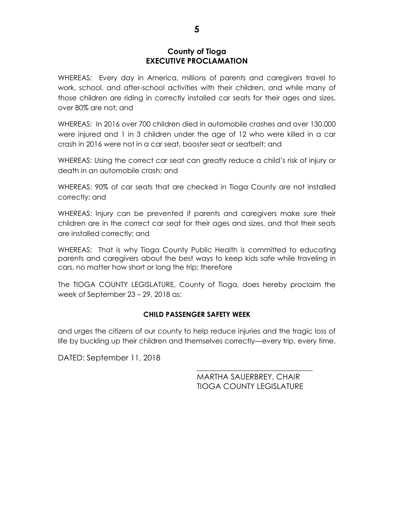### **County of Tioga EXECUTIVE PROCLAMATION**

WHEREAS: Every day in America, millions of parents and caregivers travel to work, school, and after-school activities with their children, and while many of those children are riding in correctly installed car seats for their ages and sizes, over 80% are not; and

WHEREAS: In 2016 over 700 children died in automobile crashes and over 130,000 were injured and 1 in 3 children under the age of 12 who were killed in a car crash in 2016 were not in a car seat, booster seat or seatbelt; and

WHEREAS: Using the correct car seat can greatly reduce a child's risk of injury or death in an automobile crash; and

WHEREAS: 90% of car seats that are checked in Tioga County are not installed correctly; and

WHEREAS: Injury can be prevented if parents and caregivers make sure their children are in the correct car seat for their ages and sizes, and that their seats are installed correctly; and

WHEREAS: That is why Tioga County Public Health is committed to educating parents and caregivers about the best ways to keep kids safe while traveling in cars, no matter how short or long the trip; therefore

The TIOGA COUNTY LEGISLATURE, County of Tioga, does hereby proclaim the week of September 23 – 29, 2018 as:

### **CHILD PASSENGER SAFETY WEEK**

and urges the citizens of our county to help reduce injuries and the tragic loss of life by buckling up their children and themselves correctly—every trip, every time.

DATED: September 11, 2018

MARTHA SAUERBREY, CHAIR TIOGA COUNTY LEGISLATURE

\_\_\_\_\_\_\_\_\_\_\_\_\_\_\_\_\_\_\_\_\_\_\_\_\_\_\_\_\_\_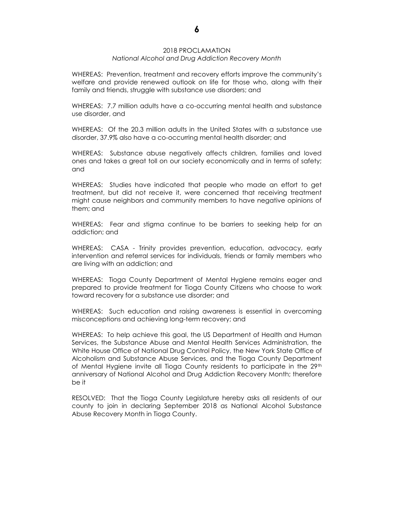#### 2018 PROCLAMATION *National Alcohol and Drug Addiction Recovery Month*

WHEREAS: Prevention, treatment and recovery efforts improve the community's welfare and provide renewed outlook on life for those who, along with their family and friends, struggle with substance use disorders; and

WHEREAS: 7.7 million adults have a co-occurring mental health and substance use disorder, and

WHEREAS: Of the 20.3 million adults in the United States with a substance use disorder, 37.9% also have a co-occurring mental health disorder; and

WHEREAS: Substance abuse negatively affects children, families and loved ones and takes a great toll on our society economically and in terms of safety; and

WHEREAS: Studies have indicated that people who made an effort to get treatment, but did not receive it, were concerned that receiving treatment might cause neighbors and community members to have negative opinions of them; and

WHEREAS: Fear and stigma continue to be barriers to seeking help for an addiction; and

WHEREAS: CASA - Trinity provides prevention, education, advocacy, early intervention and referral services for individuals, friends or family members who are living with an addiction; and

WHEREAS: Tioga County Department of Mental Hygiene remains eager and prepared to provide treatment for Tioga County Citizens who choose to work toward recovery for a substance use disorder; and

WHEREAS: Such education and raising awareness is essential in overcoming misconceptions and achieving long-term recovery; and

WHEREAS: To help achieve this goal, the US Department of Health and Human Services, the Substance Abuse and Mental Health Services Administration, the White House Office of National Drug Control Policy, the New York State Office of Alcoholism and Substance Abuse Services, and the Tioga County Department of Mental Hygiene invite all Tioga County residents to participate in the  $29<sup>th</sup>$ anniversary of National Alcohol and Drug Addiction Recovery Month; therefore be it

RESOLVED: That the Tioga County Legislature hereby asks all residents of our county to join in declaring September 2018 as National Alcohol Substance Abuse Recovery Month in Tioga County.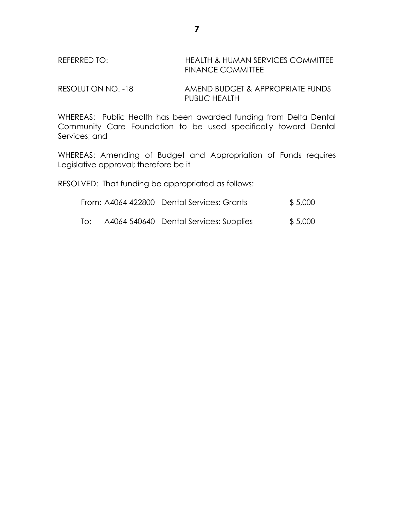## REFERRED TO: HEALTH & HUMAN SERVICES COMMITTEE FINANCE COMMITTEE

RESOLUTION NO. -18 AMEND BUDGET & APPROPRIATE FUNDS PUBLIC HEALTH

WHEREAS: Public Health has been awarded funding from Delta Dental Community Care Foundation to be used specifically toward Dental Services; and

WHEREAS: Amending of Budget and Appropriation of Funds requires Legislative approval; therefore be it

RESOLVED: That funding be appropriated as follows:

| From: A4064 422800 Dental Services: Grants | \$5,000 |
|--------------------------------------------|---------|
|                                            |         |

To: A4064 540640 Dental Services: Supplies \$ 5,000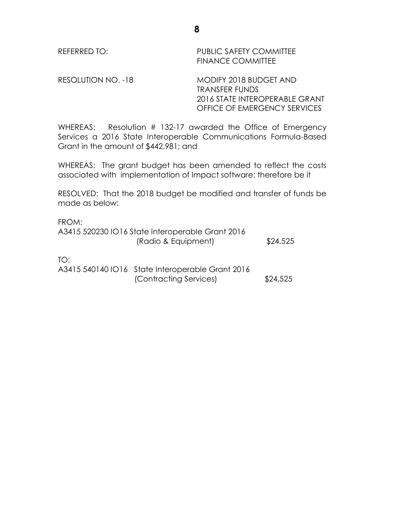REFERRED TO: PUBLIC SAFETY COMMITTEE FINANCE COMMITTEE

RESOLUTION NO. -18 MODIFY 2018 BUDGET AND TRANSFER FUNDS 2016 STATE INTEROPERABLE GRANT OFFICE OF EMERGENCY SERVICES

WHEREAS: Resolution # 132-17 awarded the Office of Emergency Services a 2016 State Interoperable Communications Formula-Based Grant in the amount of \$442,981; and

WHEREAS: The grant budget has been amended to reflect the costs associated with implementation of Impact software; therefore be it

RESOLVED: That the 2018 budget be modified and transfer of funds be made as below:

FROM: A3415 520230 IO16 State Interoperable Grant 2016 (Radio & Equipment) \$24,525

TO:

A3415 540140 IO16 State Interoperable Grant 2016 (Contracting Services) \$24,525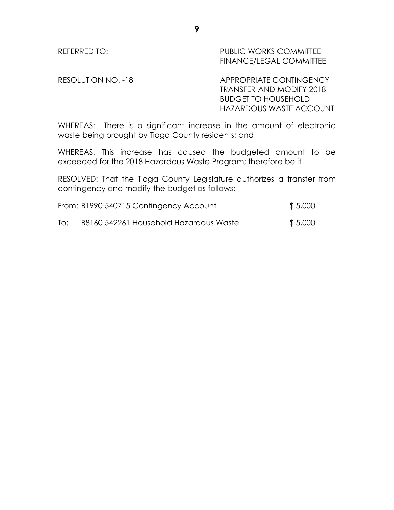REFERRED TO: PUBLIC WORKS COMMITTEE FINANCE/LEGAL COMMITTEE

RESOLUTION NO. -18 APPROPRIATE CONTINGENCY TRANSFER AND MODIFY 2018 BUDGET TO HOUSEHOLD HAZARDOUS WASTE ACCOUNT

WHEREAS: There is a significant increase in the amount of electronic waste being brought by Tioga County residents; and

WHEREAS: This increase has caused the budgeted amount to be exceeded for the 2018 Hazardous Waste Program; therefore be it

RESOLVED: That the Tioga County Legislature authorizes a transfer from contingency and modify the budget as follows:

|     | From: B1990 540715 Contingency Account | \$5,000 |
|-----|----------------------------------------|---------|
| To: | B8160 542261 Household Hazardous Waste | \$5,000 |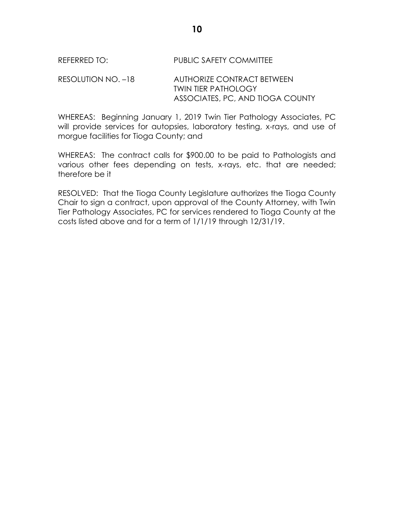### REFERRED TO: PUBLIC SAFETY COMMITTEE

### RESOLUTION NO. –18 AUTHORIZE CONTRACT BETWEEN TWIN TIER PATHOLOGY ASSOCIATES, PC, AND TIOGA COUNTY

WHEREAS: Beginning January 1, 2019 Twin Tier Pathology Associates, PC will provide services for autopsies, laboratory testing, x-rays, and use of morgue facilities for Tioga County; and

WHEREAS: The contract calls for \$900.00 to be paid to Pathologists and various other fees depending on tests, x-rays, etc. that are needed; therefore be it

RESOLVED: That the Tioga County Legislature authorizes the Tioga County Chair to sign a contract, upon approval of the County Attorney, with Twin Tier Pathology Associates, PC for services rendered to Tioga County at the costs listed above and for a term of 1/1/19 through 12/31/19.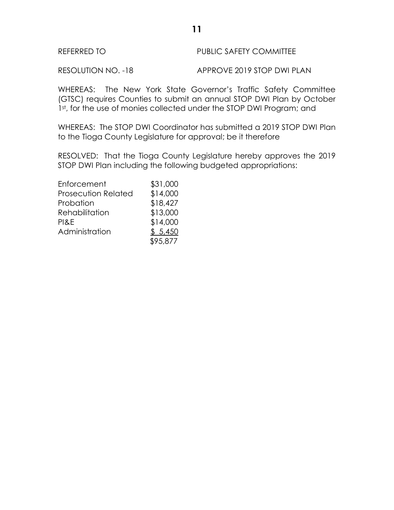## REFERRED TO **PUBLIC SAFETY COMMITTEE**

RESOLUTION NO. -18 APPROVE 2019 STOP DWI PLAN

WHEREAS: The New York State Governor's Traffic Safety Committee (GTSC) requires Counties to submit an annual STOP DWI Plan by October 1st, for the use of monies collected under the STOP DWI Program; and

WHEREAS: The STOP DWI Coordinator has submitted a 2019 STOP DWI Plan to the Tioga County Legislature for approval; be it therefore

RESOLVED: That the Tioga County Legislature hereby approves the 2019 STOP DWI Plan including the following budgeted appropriations:

| Enforcement                | \$31,000 |
|----------------------------|----------|
| <b>Prosecution Related</b> | \$14,000 |
| Probation                  | \$18,427 |
| Rehabilitation             | \$13,000 |
| PI&E                       | \$14,000 |
| Administration             | \$5,450  |
|                            | \$95,877 |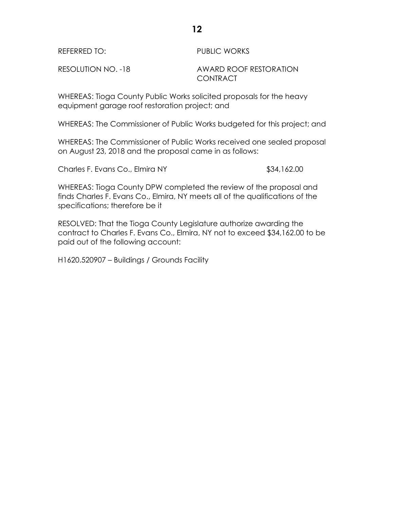| REFERRED TO:       | <b>PUBLIC WORKS</b>                |
|--------------------|------------------------------------|
| RESOLUTION NO. -18 | AWARD ROOF RESTORATION<br>CONTRACT |

WHEREAS: Tioga County Public Works solicited proposals for the heavy equipment garage roof restoration project; and

WHEREAS: The Commissioner of Public Works budgeted for this project; and

WHEREAS: The Commissioner of Public Works received one sealed proposal on August 23, 2018 and the proposal came in as follows:

Charles F. Evans Co., Elmira NY **\$34,162.00** 

WHEREAS: Tioga County DPW completed the review of the proposal and finds Charles F. Evans Co., Elmira, NY meets all of the qualifications of the specifications; therefore be it

RESOLVED: That the Tioga County Legislature authorize awarding the contract to Charles F. Evans Co., Elmira, NY not to exceed \$34,162.00 to be paid out of the following account:

H1620.520907 – Buildings / Grounds Facility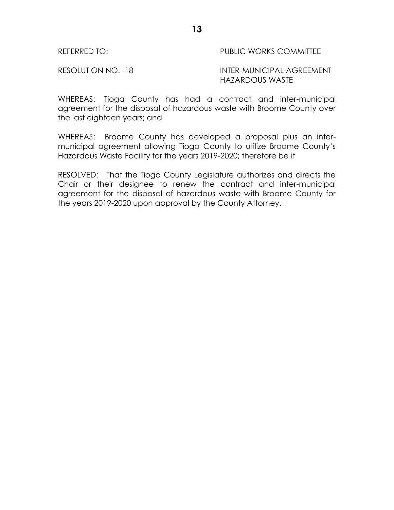### REFERRED TO: THE REFERRED TO: THE PUBLIC WORKS COMMITTEE

### RESOLUTION NO. -18 INTER-MUNICIPAL AGREEMENT HAZARDOUS WASTE

WHEREAS: Tioga County has had a contract and inter-municipal agreement for the disposal of hazardous waste with Broome County over the last eighteen years; and

WHEREAS: Broome County has developed a proposal plus an intermunicipal agreement allowing Tioga County to utilize Broome County's Hazardous Waste Facility for the years 2019-2020; therefore be it

RESOLVED: That the Tioga County Legislature authorizes and directs the Chair or their designee to renew the contract and inter-municipal agreement for the disposal of hazardous waste with Broome County for the years 2019-2020 upon approval by the County Attorney.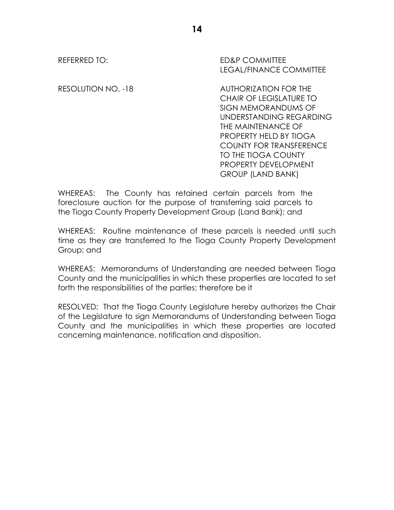REFERRED TO: ED&P COMMITTEE LEGAL/FINANCE COMMITTEE

RESOLUTION NO. -18 AUTHORIZATION FOR THE CHAIR OF LEGISLATURE TO SIGN MEMORANDUMS OF UNDERSTANDING REGARDING THE MAINTENANCE OF PROPERTY HELD BY TIOGA COUNTY FOR TRANSFERENCE TO THE TIOGA COUNTY PROPERTY DEVELOPMENT GROUP (LAND BANK)

WHEREAS: The County has retained certain parcels from the foreclosure auction for the purpose of transferring said parcels to the Tioga County Property Development Group (Land Bank); and

WHEREAS: Routine maintenance of these parcels is needed until such time as they are transferred to the Tioga County Property Development Group; and

WHEREAS: Memorandums of Understanding are needed between Tioga County and the municipalities in which these properties are located to set forth the responsibilities of the parties; therefore be it

RESOLVED: That the Tioga County Legislature hereby authorizes the Chair of the Legislature to sign Memorandums of Understanding between Tioga County and the municipalities in which these properties are located concerning maintenance, notification and disposition.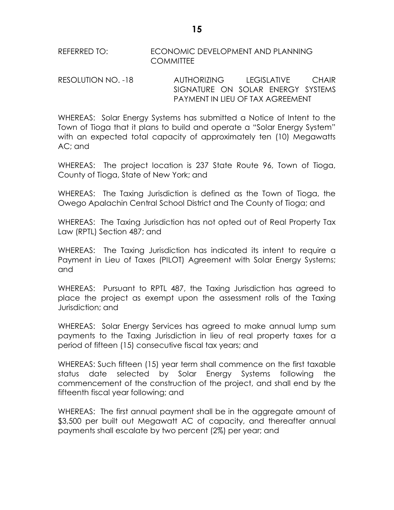REFERRED TO: ECONOMIC DEVELOPMENT AND PLANNING **COMMITTEE** 

RESOLUTION NO. -18 AUTHORIZING LEGISLATIVE CHAIR SIGNATURE ON SOLAR ENERGY SYSTEMS PAYMENT IN LIEU OF TAX AGREEMENT

WHEREAS: Solar Energy Systems has submitted a Notice of Intent to the Town of Tioga that it plans to build and operate a "Solar Energy System" with an expected total capacity of approximately ten (10) Megawatts AC; and

WHEREAS: The project location is 237 State Route 96, Town of Tioga, County of Tioga, State of New York; and

WHEREAS: The Taxing Jurisdiction is defined as the Town of Tioga, the Owego Apalachin Central School District and The County of Tioga; and

WHEREAS: The Taxing Jurisdiction has not opted out of Real Property Tax Law (RPTL) Section 487; and

WHEREAS: The Taxing Jurisdiction has indicated its intent to require a Payment in Lieu of Taxes (PILOT) Agreement with Solar Energy Systems; and

WHEREAS: Pursuant to RPTL 487, the Taxing Jurisdiction has agreed to place the project as exempt upon the assessment rolls of the Taxing Jurisdiction; and

WHEREAS: Solar Energy Services has agreed to make annual lump sum payments to the Taxing Jurisdiction in lieu of real property taxes for a period of fifteen (15) consecutive fiscal tax years; and

WHEREAS: Such fifteen (15) year term shall commence on the first taxable status date selected by Solar Energy Systems following the commencement of the construction of the project, and shall end by the fifteenth fiscal year following; and

WHEREAS: The first annual payment shall be in the aggregate amount of \$3,500 per built out Megawatt AC of capacity, and thereafter annual payments shall escalate by two percent (2%) per year; and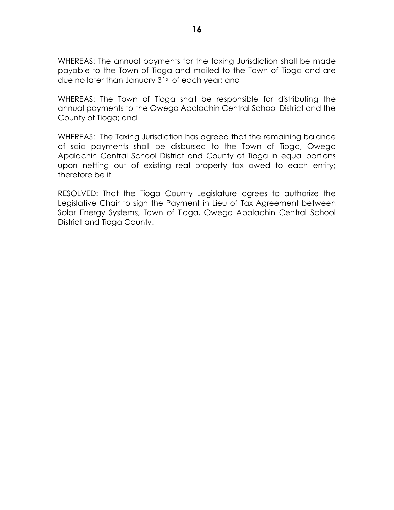WHEREAS: The annual payments for the taxing Jurisdiction shall be made payable to the Town of Tioga and mailed to the Town of Tioga and are due no later than January 31st of each year; and

WHEREAS: The Town of Tioga shall be responsible for distributing the annual payments to the Owego Apalachin Central School District and the County of Tioga; and

WHEREAS: The Taxing Jurisdiction has agreed that the remaining balance of said payments shall be disbursed to the Town of Tioga, Owego Apalachin Central School District and County of Tioga in equal portions upon netting out of existing real property tax owed to each entity; therefore be it

RESOLVED: That the Tioga County Legislature agrees to authorize the Legislative Chair to sign the Payment in Lieu of Tax Agreement between Solar Energy Systems, Town of Tioga, Owego Apalachin Central School District and Tioga County.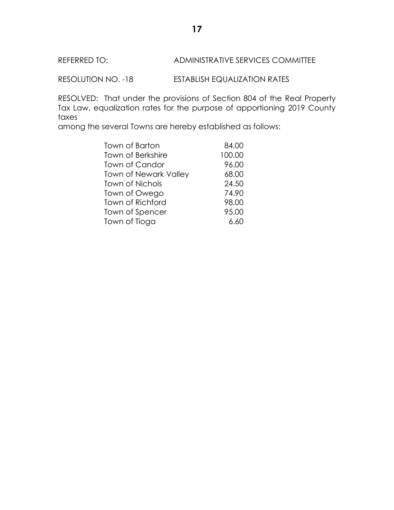# REFERRED TO: ADMINISTRATIVE SERVICES COMMITTEE

RESOLUTION NO. -18 ESTABLISH EQUALIZATION RATES

RESOLVED: That under the provisions of Section 804 of the Real Property Tax Law, equalization rates for the purpose of apportioning 2019 County taxes

among the several Towns are hereby established as follows:

| Town of Barton        | 84.00  |
|-----------------------|--------|
|                       |        |
| Town of Berkshire     | 100.00 |
| Town of Candor        | 96.00  |
| Town of Newark Valley | 68.00  |
| Town of Nichols       | 24.50  |
| Town of Owego         | 74.90  |
| Town of Richford      | 98.00  |
| Town of Spencer       | 95.00  |
| Town of Tioga         | 6.60   |
|                       |        |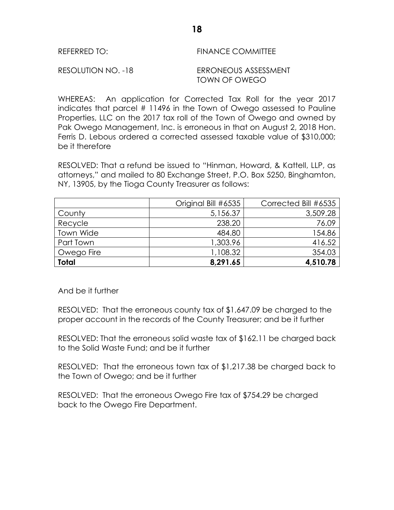| REFERRED TO:      | <b>FINANCE COMMITTEE</b>  |
|-------------------|---------------------------|
| ----------------- | _________________________ |

RESOLUTION NO. -18 ERRONEOUS ASSESSMENT TOWN OF OWEGO

WHEREAS: An application for Corrected Tax Roll for the year 2017 indicates that parcel # 11496 in the Town of Owego assessed to Pauline Properties, LLC on the 2017 tax roll of the Town of Owego and owned by Pak Owego Management, Inc. is erroneous in that on August 2, 2018 Hon. Ferris D. Lebous ordered a corrected assessed taxable value of \$310,000; be it therefore

RESOLVED: That a refund be issued to "Hinman, Howard, & Kattell, LLP, as attorneys," and mailed to 80 Exchange Street, P.O. Box 5250, Binghamton, NY, 13905, by the Tioga County Treasurer as follows:

|              | Original Bill #6535 | Corrected Bill #6535 |
|--------------|---------------------|----------------------|
| County       | 5,156.37            | 3,509.28             |
| Recycle      | 238.20              | 76.09                |
| Town Wide    | 484.80              | 154.86               |
| Part Town    | 1,303.96            | 416.52               |
| Owego Fire   | 1,108.32            | 354.03               |
| <b>Total</b> | 8,291.65            | 4,510.78             |

And be it further

RESOLVED: That the erroneous county tax of \$1,647.09 be charged to the proper account in the records of the County Treasurer; and be it further

RESOLVED: That the erroneous solid waste tax of \$162.11 be charged back to the Solid Waste Fund; and be it further

RESOLVED: That the erroneous town tax of \$1,217.38 be charged back to the Town of Owego; and be it further

RESOLVED: That the erroneous Owego Fire tax of \$754.29 be charged back to the Owego Fire Department.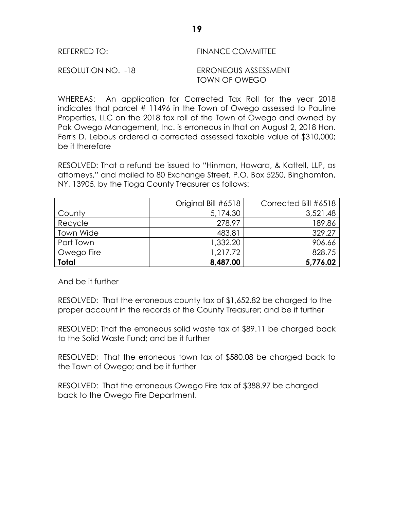| REFERRED TO:       | <b>FINANCE COMMITTEE</b>              |
|--------------------|---------------------------------------|
| RESOLUTION NO. -18 | ERRONEOUS ASSESSMENT<br>TOWN OF OWEGO |

WHEREAS: An application for Corrected Tax Roll for the year 2018 indicates that parcel # 11496 in the Town of Owego assessed to Pauline Properties, LLC on the 2018 tax roll of the Town of Owego and owned by Pak Owego Management, Inc. is erroneous in that on August 2, 2018 Hon. Ferris D. Lebous ordered a corrected assessed taxable value of \$310,000; be it therefore

RESOLVED: That a refund be issued to "Hinman, Howard, & Kattell, LLP, as attorneys," and mailed to 80 Exchange Street, P.O. Box 5250, Binghamton, NY, 13905, by the Tioga County Treasurer as follows:

|              | Original Bill #6518 | Corrected Bill #6518 |
|--------------|---------------------|----------------------|
| County       | 5,174.30            | 3,521.48             |
| Recycle      | 278.97              | 189.86               |
| Town Wide    | 483.81              | 329.27               |
| Part Town    | 1,332.20            | 906.66               |
| Owego Fire   | 1,217.72            | 828.75               |
| <b>Total</b> | 8,487.00            | 5,776.02             |

And be it further

RESOLVED: That the erroneous county tax of \$1,652.82 be charged to the proper account in the records of the County Treasurer; and be it further

RESOLVED: That the erroneous solid waste tax of \$89.11 be charged back to the Solid Waste Fund; and be it further

RESOLVED: That the erroneous town tax of \$580.08 be charged back to the Town of Owego; and be it further

RESOLVED: That the erroneous Owego Fire tax of \$388.97 be charged back to the Owego Fire Department.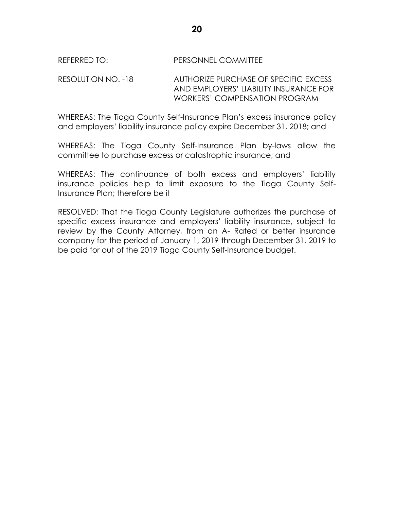### REFERRED TO: PERSONNEL COMMITTEE

RESOLUTION NO. -18 AUTHORIZE PURCHASE OF SPECIFIC EXCESS AND EMPLOYERS' LIABILITY INSURANCE FOR WORKERS' COMPENSATION PROGRAM

WHEREAS: The Tioga County Self-Insurance Plan's excess insurance policy and employers' liability insurance policy expire December 31, 2018; and

WHEREAS: The Tioga County Self-Insurance Plan by-laws allow the committee to purchase excess or catastrophic insurance; and

WHEREAS: The continuance of both excess and employers' liability insurance policies help to limit exposure to the Tioga County Self-Insurance Plan; therefore be it

RESOLVED: That the Tioga County Legislature authorizes the purchase of specific excess insurance and employers' liability insurance, subject to review by the County Attorney, from an A- Rated or better insurance company for the period of January 1, 2019 through December 31, 2019 to be paid for out of the 2019 Tioga County Self-Insurance budget.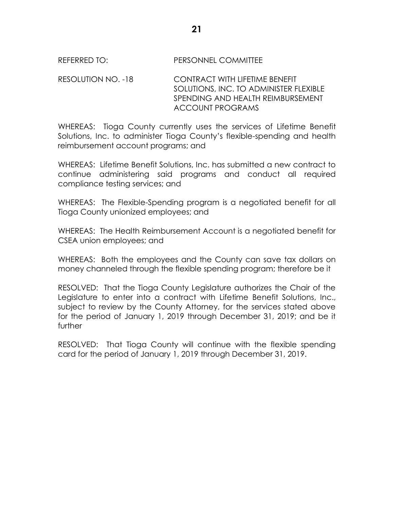### REFERRED TO: PERSONNEL COMMITTEE

RESOLUTION NO. -18 CONTRACT WITH LIFETIME BENEFIT SOLUTIONS, INC. TO ADMINISTER FLEXIBLE SPENDING AND HEALTH REIMBURSEMENT ACCOUNT PROGRAMS

WHEREAS: Tioga County currently uses the services of Lifetime Benefit Solutions, Inc. to administer Tioga County's flexible-spending and health reimbursement account programs; and

WHEREAS: Lifetime Benefit Solutions, Inc. has submitted a new contract to continue administering said programs and conduct all required compliance testing services; and

WHEREAS: The Flexible-Spending program is a negotiated benefit for all Tioga County unionized employees; and

WHEREAS: The Health Reimbursement Account is a negotiated benefit for CSEA union employees; and

WHEREAS: Both the employees and the County can save tax dollars on money channeled through the flexible spending program; therefore be it

RESOLVED: That the Tioga County Legislature authorizes the Chair of the Legislature to enter into a contract with Lifetime Benefit Solutions, Inc., subject to review by the County Attorney, for the services stated above for the period of January 1, 2019 through December 31, 2019; and be it further

RESOLVED: That Tioga County will continue with the flexible spending card for the period of January 1, 2019 through December 31, 2019.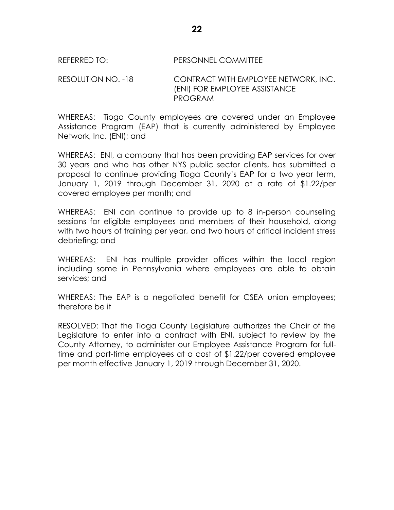REFERRED TO: PERSONNEL COMMITTEE

RESOLUTION NO. -18 CONTRACT WITH EMPLOYEE NETWORK, INC. (ENI) FOR EMPLOYEE ASSISTANCE PROGRAM

WHEREAS: Tioga County employees are covered under an Employee Assistance Program (EAP) that is currently administered by Employee Network, Inc. (ENI); and

WHEREAS: ENI, a company that has been providing EAP services for over 30 years and who has other NYS public sector clients, has submitted a proposal to continue providing Tioga County's EAP for a two year term, January 1, 2019 through December 31, 2020 at a rate of \$1.22/per covered employee per month; and

WHEREAS: ENI can continue to provide up to 8 in-person counseling sessions for eligible employees and members of their household, along with two hours of training per year, and two hours of critical incident stress debriefing; and

WHEREAS: ENI has multiple provider offices within the local region including some in Pennsylvania where employees are able to obtain services; and

WHEREAS: The EAP is a negotiated benefit for CSEA union employees; therefore be it

RESOLVED: That the Tioga County Legislature authorizes the Chair of the Legislature to enter into a contract with ENI, subject to review by the County Attorney, to administer our Employee Assistance Program for fulltime and part-time employees at a cost of \$1.22/per covered employee per month effective January 1, 2019 through December 31, 2020.